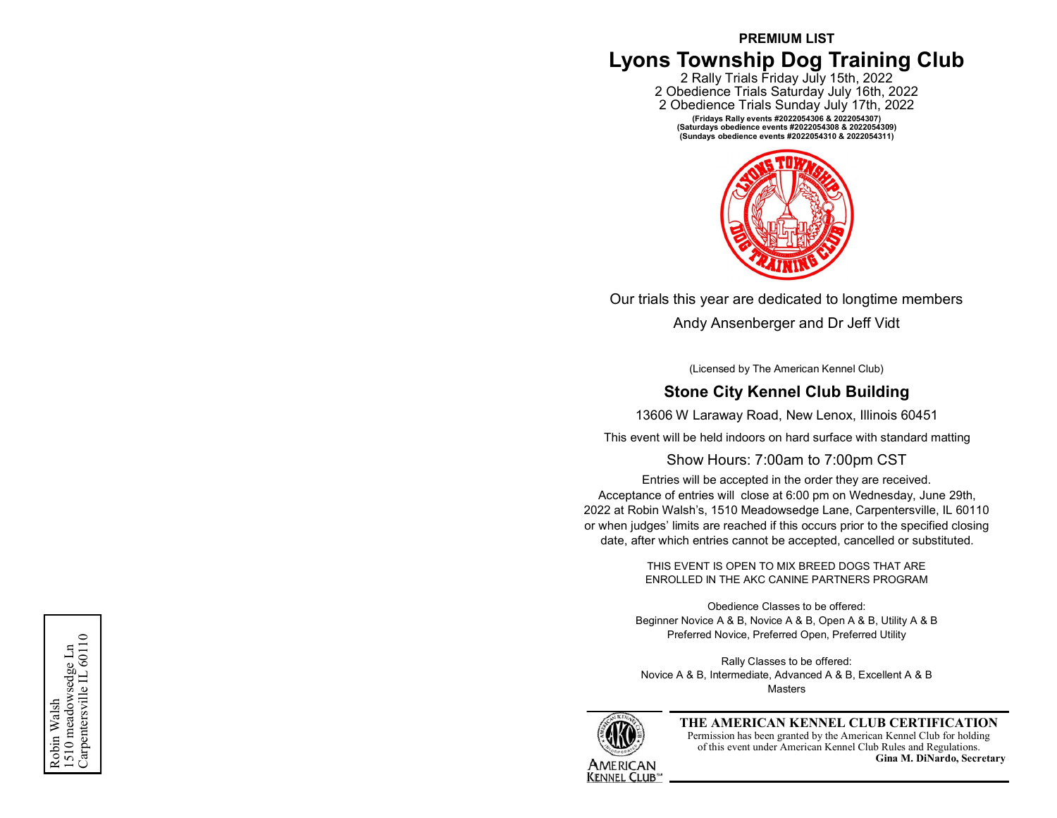# **PREMIUM LIST Lyons Township Dog Training Club**

2 Rally Trials Friday July 15th, 2022 2 Obedience Trials Saturday July 16th, 2022 2 Obedience Trials Sunday July 17th, 2022 **(Fridays Rally events #2022054306 & 2022054307) (Saturdays obedience events #2022054308 & 2022054309) (Sundays obedience events #2022054310 & 2022054311)**



Our trials this year are dedicated to longtime members

Andy Ansenberger and Dr Jeff Vidt

(Licensed by The American Kennel Club)

# **Stone City Kennel Club Building**

13606 W Laraway Road, New Lenox, Illinois 60451

This event will be held indoors on hard surface with standard matting

# Show Hours: 7:00am to 7:00pm CST

Entries will be accepted in the order they are received. Acceptance of entries will close at 6:00 pm on Wednesday, June 29th, 2022 at Robin Walsh 's, 1510 Meadowsedge Lane, Carpentersville, IL 60110 or when judges' limits are reached if this occurs prior to the specified closing date, after which entries cannot be accepted, cancelled or substituted.

> THIS EVENT IS OPEN TO MIX BREED DOGS THAT ARE ENROLLED IN THE AKC CANINE PARTNERS PROGRAM

Obedience Classes to be offered: Beginner Novice A & B, Novice A & B, Open A & B, Utility A & B Preferred Novice, Preferred Open, Preferred Utility

Rally Classes to be offered: Novice A & B, Intermediate, Advanced A & B, Excellent A & B **Masters** 



# **THE AMERICAN KENNEL CLUB CERTIFICATION**

Permission has been granted by the American Kennel Club for holding of this event under American Kennel Club Rules and Regulations. **Gina M. DiNardo, Secretary**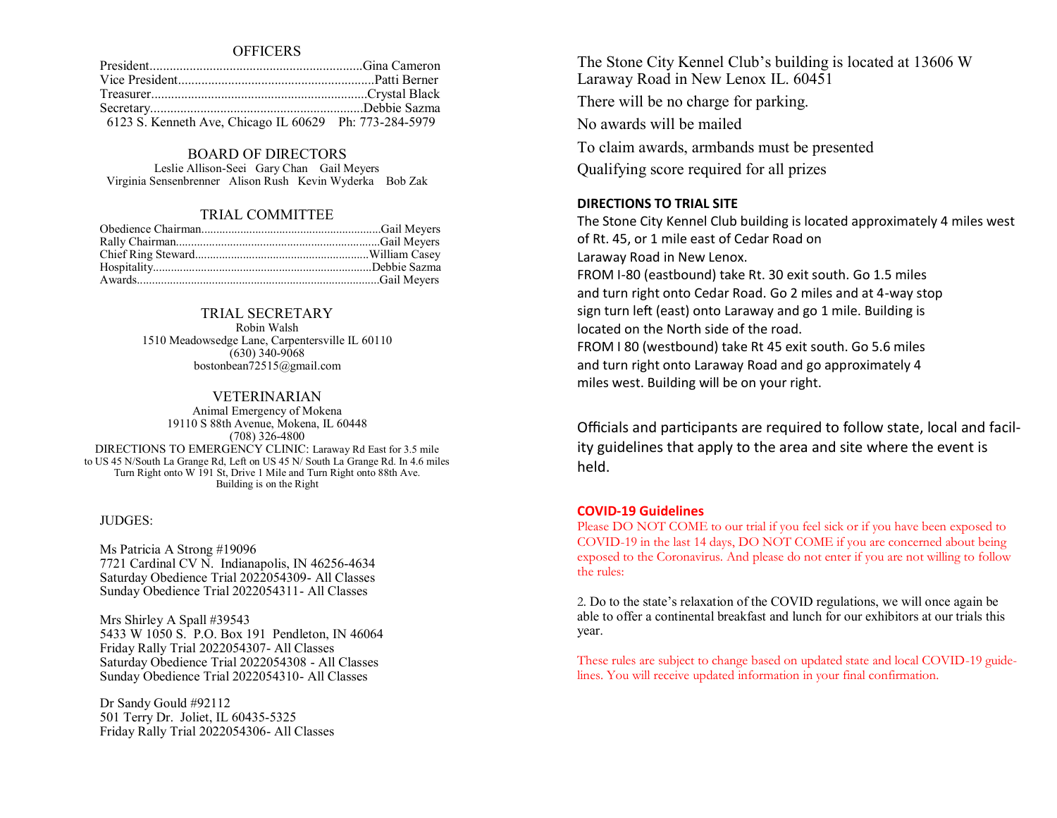**OFFICERS** 

| 6123 S. Kenneth Ave, Chicago IL 60629 Ph: 773-284-5979 |  |
|--------------------------------------------------------|--|

#### BOARD OF DIRECTORS

Leslie Allison-Seei Gary Chan Gail Meyers Virginia Sensenbrenner Alison Rush Kevin Wyderka Bob Zak

## TRIAL COMMITTEE

## TRIAL SECRETARY

Robin Walsh 1510 Meadowsedge Lane, Carpentersville IL 60110 (630) 340-9068 bostonbean72515@gmail.com

### VETERINARIAN

Animal Emergency of Mokena 19110 S 88th Avenue, Mokena, IL 60448 (708) 326-4800 DIRECTIONS TO EMERGENCY CLINIC: Laraway Rd East for 3.5 mile to US 45 N/South La Grange Rd, Left on US 45 N/ South La Grange Rd. In 4.6 miles Turn Right onto W 191 St, Drive 1 Mile and Turn Right onto 88th Ave. Building is on the Right

#### JUDGES:

Ms Patricia A Strong #19096 7721 Cardinal CV N. Indianapolis, IN 46256-4634 Saturday Obedience Trial 2022054309- All Classes Sunday Obedience Trial 2022054311- All Classes

Mrs Shirley A Spall #39543 5433 W 1050 S. P.O. Box 191 Pendleton, IN 46064 Friday Rally Trial 2022054307- All Classes Saturday Obedience Trial 2022054308 - All Classes Sunday Obedience Trial 2022054310- All Classes

Dr Sandy Gould #92112 501 Terry Dr. Joliet, IL 60435-5325 Friday Rally Trial 2022054306- All Classes

The Stone City Kennel Club's building is located at 13606 W Laraway Road in New Lenox IL. 60451 There will be no charge for parking. No awards will be mailed To claim awards, armbands must be presented Qualifying score required for all prizes

## **DIRECTIONS TO TRIAL SITE**

The Stone City Kennel Club building is located approximately 4 miles west of Rt. 45, or 1 mile east of Cedar Road on Laraway Road in New Lenox. FROM I-80 (eastbound) take Rt. 30 exit south. Go 1.5 miles and turn right onto Cedar Road. Go 2 miles and at 4-way stop sign turn left (east) onto Laraway and go 1 mile. Building is located on the North side of the road. FROM I 80 (westbound) take Rt 45 exit south. Go 5.6 miles and turn right onto Laraway Road and go approximately 4 miles west. Building will be on your right.

Officials and participants are required to follow state, local and facility guidelines that apply to the area and site where the event is held.

## **COVID-19 Guidelines**

Please DO NOT COME to our trial if you feel sick or if you have been exposed to COVID-19 in the last 14 days, DO NOT COME if you are concerned about being exposed to the Coronavirus. And please do not enter if you are not willing to follow the rules:

2. Do to the state's relaxation of the COVID regulations, we will once again be able to offer a continental breakfast and lunch for our exhibitors at our trials this year.

These rules are subject to change based on updated state and local COVID-19 guidelines. You will receive updated information in your final confirmation.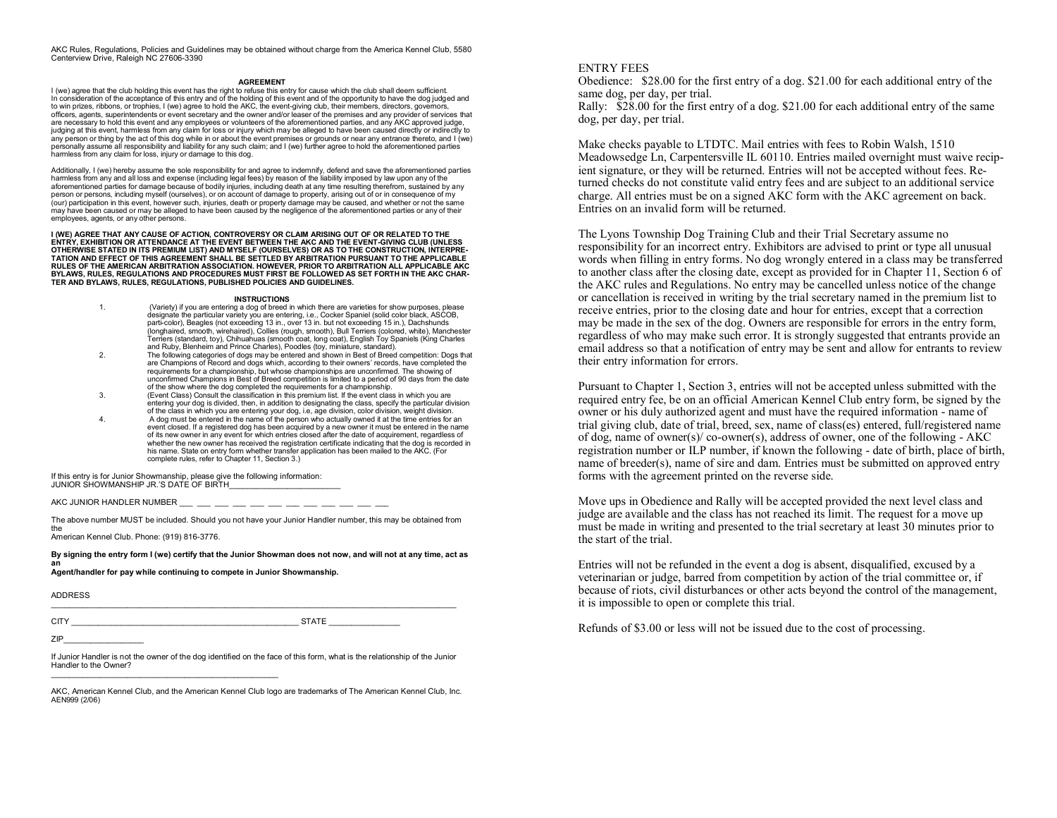AKC Rules, Regulations, Policies and Guidelines may be obtained without charge from the America Kennel Club, 5580 Centerview Drive, Raleigh NC 27606-3390

#### **AGREEMENT**

I (we) agree that the club holding this event has the right to refuse this entry for cause which the club shall deem sufficient. In consideration of the acceptance of this entry and of the holding of this event and of the opportunity to have the dog judged and to win prizes, ribbons, or trophies, I (we) agree to hold the AKC, the event-giving club, their members, directors, governors, officers, agents, superintendents or event secretary and the owner and/or leaser of the premises and any provider of services that are necessary to hold this event and any employees or volunteers of the aforementioned parties, and any AKC approved judge, judging at this event, harmless from any claim for loss or injury which may be alleged to have been caused directly or indirectly to any person or thing by the act of this dog while in or about the event premises or grounds or near any entrance thereto, and I (we) personally assume all responsibility and liability for any such claim; and I (we) further agree to hold the aforementioned parties harmless from any claim for loss, injury or damage to this dog.

Additionally, I (we) hereby assume the sole responsibility for and agree to indemnify, defend and save the aforementioned parties harmless from any and all loss and expense (including legal fees) by reason of the liability imposed by law upon any of the aforementioned parties for damage because of bodily injuries, including death at any time resulting therefrom, sustained by any person or persons, including myself (ourselves), or on account of damage to property, arising out of or in consequence of my (our) participation in this event, however such, injuries, death or property damage may be caused, and whether or not the same may have been caused or may be alleged to have been caused by the negligence of the aforementioned parties or any of their employees, agents, or any other persons.

**I (WE) AGREE THAT ANY CAUSE OF ACTION, CONTROVERSY OR CLAIM ARISING OUT OF OR RELATED TO THE ENTRY, EXHIBITION OR ATTENDANCE AT THE EVENT BETWEEN THE AKC AND THE EVENT-GIVING CLUB (UNLESS OTHERWISE STATED IN ITS PREMIUM LIST) AND MYSELF (OURSELVES) OR AS TO THE CONSTRUCTION, INTERPRE-TATION AND EFFECT OF THIS AGREEMENT SHALL BE SETTLED BY ARBITRATION PURSUANT TO THE APPLICABLE RULES OF THE AMERICAN ARBITRATION ASSOCIATION. HOWEVER, PRIOR TO ARBITRATION ALL APPLICABLE AKC BYLAWS, RULES, REGULATIONS AND PROCEDURES MUST FIRST BE FOLLOWED AS SET FORTH IN THE AKC CHAR-TER AND BYLAWS, RULES, REGULATIONS, PUBLISHED POLICIES AND GUIDELINES.**

#### **INSTRUCTIONS**

- 1. (Variety) if you are entering a dog of breed in which there are varieties for show purposes, please designate the particular variety you are entering, i.e., Cocker Spaniel (solid color black, ASCOB, parti-color), Beagles (not exceeding 13 in., over 13 in. but not exceeding 15 in.), Dachshunds (longhaired, smooth, wirehaired), Collies (rough, smooth), Bull Terriers (colored, white), Manchester Terriers (standard, toy), Chihuahuas (smooth coat, long coat), English Toy Spaniels (King Charles and Ruby, Blenheim and Prince Charles), Poodles (toy, miniature, standard).
- 2. The following categories of dogs may be entered and shown in Best of Breed competition: Dogs that are Champions of Record and dogs which, according to their owners' records, have completed the requirements for a championship, but whose championships are unconfirmed. The showing of unconfirmed Champions in Best of Breed competition is limited to a period of 90 days from the date of the show where the dog completed the requirements for a championship.
- 3. (Event Class) Consult the classification in this premium list. If the event class in which you are entering your dog is divided, then, in addition to designating the class, specify the particular division of the class in which you are entering your dog, i.e, age division, color division, weight division.
- 4. A dog must be entered in the name of the person who actually owned it at the time entries for an event closed. If a registered dog has been acquired by a new owner it must be entered in the name of its new owner in any event for which entries closed after the date of acquirement, regardless of whether the new owner has received the registration certificate indicating that the dog is recorded in his name. State on entry form whether transfer application has been mailed to the AKC. (For complete rules, refer to Chapter 11, Section 3.)

If this entry is for Junior Showmanship, please give the following information: JUNIOR SHOWMANSHIP JR.'S DATE OF BIRTH

AKC JUNIOR HANDLER NUMBER \_\_\_ \_\_\_ \_\_\_ \_\_\_ \_\_\_ \_\_\_ \_\_\_ \_\_\_ \_\_\_ \_\_\_ \_\_\_ \_\_\_

The above number MUST be included. Should you not have your Junior Handler number, this may be obtained from the

American Kennel Club. Phone: (919) 816-3776.

**By signing the entry form I (we) certify that the Junior Showman does not now, and will not at any time, act as an**

**Agent/handler for pay while continuing to compete in Junior Showmanship.**

ADDRESS

 $\_$  ,  $\_$  ,  $\_$  ,  $\_$  ,  $\_$  ,  $\_$  ,  $\_$  ,  $\_$  ,  $\_$  ,  $\_$  ,  $\_$  ,  $\_$  ,  $\_$  ,  $\_$  ,  $\_$  ,  $\_$  ,  $\_$  ,  $\_$  ,  $\_$  ,  $\_$  ,  $\_$  ,  $\_$  ,  $\_$  ,  $\_$  ,  $\_$  ,  $\_$  ,  $\_$  ,  $\_$  ,  $\_$  ,  $\_$  ,  $\_$  ,  $\_$  ,  $\_$  ,  $\_$  ,  $\_$  ,  $\_$  ,  $\_$  ,

 $C\text{ITY} \hspace{25pt} \text{STATE}$ 

ZIP\_\_\_\_\_\_\_\_\_\_\_\_\_\_\_\_\_\_

If Junior Handler is not the owner of the dog identified on the face of this form, what is the relationship of the Junior Handler to the Owner?

AKC, American Kennel Club, and the American Kennel Club logo are trademarks of The American Kennel Club, Inc. AEN999 (2/06)

#### ENTRY FEES

Obedience: \$28.00 for the first entry of a dog. \$21.00 for each additional entry of the same dog, per day, per trial.

Rally: \$28.00 for the first entry of a dog. \$21.00 for each additional entry of the same dog, per day, per trial.

Make checks payable to LTDTC. Mail entries with fees to Robin Walsh, 1510 Meadowsedge Ln, Carpentersville IL 60110. Entries mailed overnight must waive recipient signature, or they will be returned. Entries will not be accepted without fees. Returned checks do not constitute valid entry fees and are subject to an additional service charge. All entries must be on a signed AKC form with the AKC agreement on back. Entries on an invalid form will be returned.

The Lyons Township Dog Training Club and their Trial Secretary assume no responsibility for an incorrect entry. Exhibitors are advised to print or type all unusual words when filling in entry forms. No dog wrongly entered in a class may be transferred to another class after the closing date, except as provided for in Chapter 11, Section 6 of the AKC rules and Regulations. No entry may be cancelled unless notice of the change or cancellation is received in writing by the trial secretary named in the premium list to receive entries, prior to the closing date and hour for entries, except that a correction may be made in the sex of the dog. Owners are responsible for errors in the entry form, regardless of who may make such error. It is strongly suggested that entrants provide an email address so that a notification of entry may be sent and allow for entrants to review their entry information for errors.

Pursuant to Chapter 1, Section 3, entries will not be accepted unless submitted with the required entry fee, be on an official American Kennel Club entry form, be signed by the owner or his duly authorized agent and must have the required information - name of trial giving club, date of trial, breed, sex, name of class(es) entered, full/registered name of dog, name of owner(s)/ co-owner(s), address of owner, one of the following - AKC registration number or ILP number, if known the following - date of birth, place of birth, name of breeder(s), name of sire and dam. Entries must be submitted on approved entry forms with the agreement printed on the reverse side.

Move ups in Obedience and Rally will be accepted provided the next level class and judge are available and the class has not reached its limit. The request for a move up must be made in writing and presented to the trial secretary at least 30 minutes prior to the start of the trial.

Entries will not be refunded in the event a dog is absent, disqualified, excused by a veterinarian or judge, barred from competition by action of the trial committee or, if because of riots, civil disturbances or other acts beyond the control of the management, it is impossible to open or complete this trial.

Refunds of \$3.00 or less will not be issued due to the cost of processing.